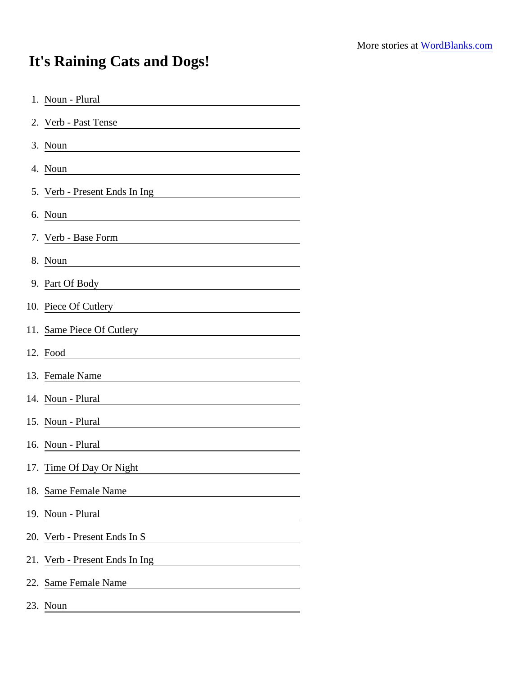## It's Raining Cats and Dogs!

| 1. Noun - Plural                                                                                                                                  |
|---------------------------------------------------------------------------------------------------------------------------------------------------|
| 2. Verb - Past Tense                                                                                                                              |
| 3. Noun                                                                                                                                           |
| 4. Noun                                                                                                                                           |
| 5. Verb - Present Ends In Ing<br><u> 1989 - John Stein, amerikansk politiker (</u>                                                                |
| 6. Noun<br><u> 1989 - Andrea Barbara, poeta esperanto-</u>                                                                                        |
| 7. Verb - Base Form                                                                                                                               |
| 8. Noun                                                                                                                                           |
| 9. Part Of Body<br><u> 1989 - Johann Harry Barn, mars ar breist fan de Fryske k</u>                                                               |
| 10. Piece Of Cutlery <b>Community Community Community Community Community Community Community Community</b>                                       |
| 11. Same Piece Of Cutlery<br><u> 1980 - Johann Barn, mars ar breithinn ar chuid ann an t-Alban ann an t-Alban ann an t-Alban ann an t-Alban a</u> |
| 12. Food                                                                                                                                          |
| 13. Female Name                                                                                                                                   |
| 14. Noun - Plural                                                                                                                                 |
| 15. Noun - Plural<br><u> 1980 - Jan Stein Stein Stein Stein Stein Stein Stein Stein Stein Stein Stein Stein Stein Stein Stein Stein S</u>         |
| 16. Noun - Plural                                                                                                                                 |
| 17. Time Of Day Or Night                                                                                                                          |
| 18. Same Female Name                                                                                                                              |
| 19. Noun - Plural                                                                                                                                 |
| 20. Verb - Present Ends In S                                                                                                                      |
| 21. Verb - Present Ends In Ing                                                                                                                    |
| 22. Same Female Name                                                                                                                              |
| 23. Noun                                                                                                                                          |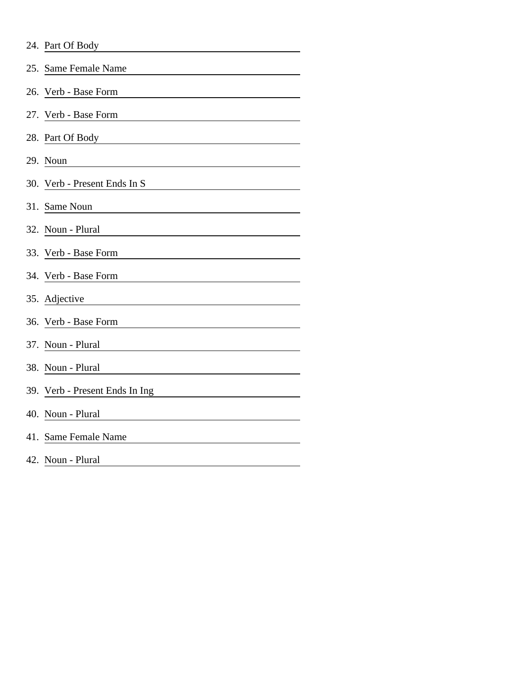|     | 24. Part Of Body                                                                                                                     |
|-----|--------------------------------------------------------------------------------------------------------------------------------------|
|     | 25. Same Female Name                                                                                                                 |
|     | 26. Verb - Base Form                                                                                                                 |
| 27. | Verb - Base Form                                                                                                                     |
|     | 28. Part Of Body                                                                                                                     |
|     | 29. Noun                                                                                                                             |
|     | 30. Verb - Present Ends In S                                                                                                         |
|     | 31. Same Noun                                                                                                                        |
|     | 32. Noun - Plural                                                                                                                    |
|     | 33. Verb - Base Form                                                                                                                 |
|     | 34. Verb - Base Form                                                                                                                 |
|     | 35. Adjective                                                                                                                        |
| 36. | Verb - Base Form                                                                                                                     |
| 37. | Noun - Plural<br><u> 1980 - Johann Barn, mars eta bainar eta baina eta baina eta baina eta baina eta baina eta baina eta baina e</u> |
| 38. | Noun - Plural                                                                                                                        |
|     | 39. Verb - Present Ends In Ing                                                                                                       |
| 40. | Noun - Plural                                                                                                                        |
|     | 41. Same Female Name                                                                                                                 |
|     | 42. Noun - Plural                                                                                                                    |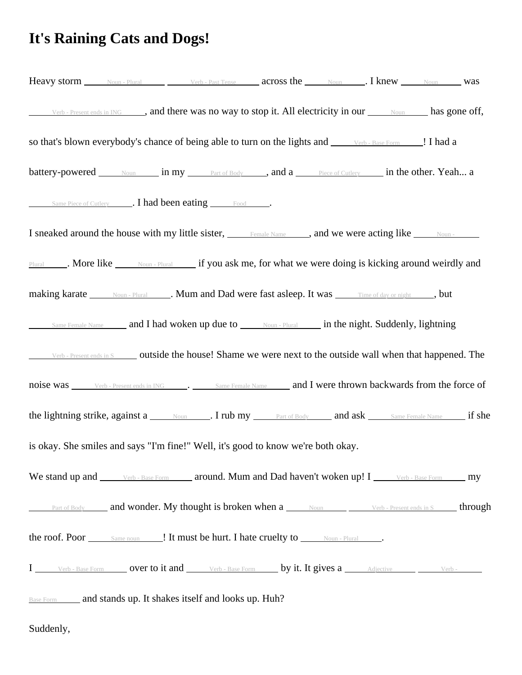## **It's Raining Cats and Dogs!**



Suddenly,